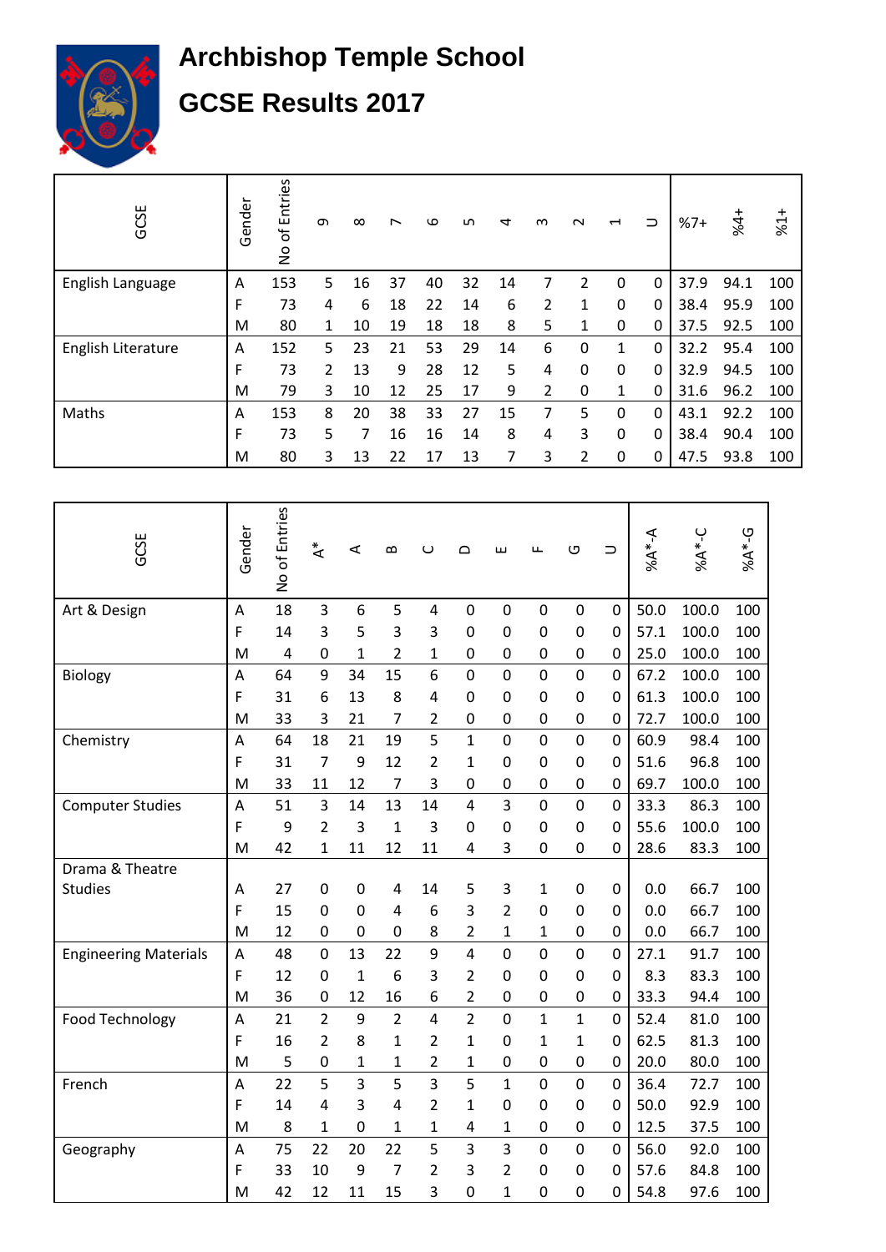

## **Archbishop Temple School GCSE Results 2017**

| GCSE               | Gender | of Entries<br>$\frac{1}{2}$ | თ | $\infty$ | ∼  | ဖ  | ഥ  | ₹  | ന | $\sim$   | $\overline{\phantom{0}}$ | ⊃ | $%7+$ | $44 +$ | $*1*$ |
|--------------------|--------|-----------------------------|---|----------|----|----|----|----|---|----------|--------------------------|---|-------|--------|-------|
| English Language   | А      | 153                         | 5 | 16       | 37 | 40 | 32 | 14 |   | 2        | 0                        | 0 | 37.9  | 94.1   | 100   |
|                    | F      | 73                          | 4 | 6        | 18 | 22 | 14 | 6  | 2 | 1        | $\mathbf 0$              | 0 | 38.4  | 95.9   | 100   |
|                    | M      | 80                          | 1 | 10       | 19 | 18 | 18 | 8  | 5 | 1        | 0                        | 0 | 37.5  | 92.5   | 100   |
| English Literature | Α      | 152                         | 5 | 23       | 21 | 53 | 29 | 14 | 6 | 0        | 1                        | 0 | 32.2  | 95.4   | 100   |
|                    | F      | 73                          | 2 | 13       | 9  | 28 | 12 | 5  | 4 | $\Omega$ | 0                        | 0 | 32.9  | 94.5   | 100   |
|                    | M      | 79                          | 3 | 10       | 12 | 25 | 17 | 9  | 2 | 0        | 1                        | 0 | 31.6  | 96.2   | 100   |
| Maths              | Α      | 153                         | 8 | 20       | 38 | 33 | 27 | 15 | 7 | 5        | $\Omega$                 | 0 | 43.1  | 92.2   | 100   |
|                    | F      | 73                          | 5 | 7        | 16 | 16 | 14 | 8  | 4 | 3        | 0                        | 0 | 38.4  | 90.4   | 100   |
|                    | M      | 80                          | 3 | 13       | 22 | 17 | 13 | 7  | 3 | 2        | $\mathbf 0$              | 0 | 47.5  | 93.8   | 100   |

| GCSE                         | Gender | No of Entries | $\stackrel{*}{\prec}$ | $\prec$        | $\mathbf{\Omega}$ | $\cup$                  | $\Omega$                | ш              | Щ              | O              | $\supset$      | $A^*A^*A$ | % $A*-C$ | $6A*-G$ |
|------------------------------|--------|---------------|-----------------------|----------------|-------------------|-------------------------|-------------------------|----------------|----------------|----------------|----------------|-----------|----------|---------|
| Art & Design                 | A      | 18            | 3                     | 6              | 5                 | 4                       | $\mathbf 0$             | $\mathbf 0$    | $\overline{0}$ | $\mathbf 0$    | $\mathbf 0$    | 50.0      | 100.0    | 100     |
|                              | F      | 14            | 3                     | 5              | 3                 | 3                       | $\mathbf 0$             | $\mathbf 0$    | $\mathbf 0$    | 0              | $\mathbf 0$    | 57.1      | 100.0    | 100     |
|                              | M      | 4             | $\mathbf 0$           | $\mathbf{1}$   | $\overline{2}$    | 1                       | $\mathbf 0$             | $\mathbf 0$    | $\mathbf 0$    | 0              | $\mathbf 0$    | 25.0      | 100.0    | 100     |
| <b>Biology</b>               | A      | 64            | 9                     | 34             | 15                | 6                       | $\mathbf 0$             | $\overline{0}$ | $\overline{0}$ | $\mathbf 0$    | $\mathbf 0$    | 67.2      | 100.0    | 100     |
|                              | F      | 31            | 6                     | 13             | 8                 | 4                       | 0                       | 0              | 0              | 0              | 0              | 61.3      | 100.0    | 100     |
|                              | M      | 33            | 3                     | 21             | 7                 | 2                       | 0                       | $\mathbf 0$    | 0              | 0              | $\mathbf 0$    | 72.7      | 100.0    | 100     |
| Chemistry                    | A      | 64            | 18                    | 21             | 19                | 5                       | $\mathbf{1}$            | $\overline{0}$ | $\overline{0}$ | $\overline{0}$ | $\mathbf 0$    | 60.9      | 98.4     | 100     |
|                              | F      | 31            | $\overline{7}$        | 9              | 12                | 2                       | 1                       | $\overline{0}$ | $\mathbf 0$    | 0              | $\overline{0}$ | 51.6      | 96.8     | 100     |
|                              | M      | 33            | 11                    | 12             | $\overline{7}$    | 3                       | $\mathbf 0$             | $\mathbf 0$    | $\mathbf 0$    | 0              | $\mathbf 0$    | 69.7      | 100.0    | 100     |
| <b>Computer Studies</b>      | A      | 51            | 3                     | 14             | 13                | 14                      | $\overline{4}$          | 3              | $\overline{0}$ | $\mathbf 0$    | $\mathbf 0$    | 33.3      | 86.3     | 100     |
|                              | F      | 9             | $\overline{2}$        | 3              | $\mathbf{1}$      | 3                       | 0                       | $\mathbf 0$    | 0              | 0              | 0              | 55.6      | 100.0    | 100     |
|                              | M      | 42            | $\mathbf 1$           | 11             | 12                | 11                      | 4                       | 3              | 0              | 0              | $\mathbf 0$    | 28.6      | 83.3     | 100     |
| Drama & Theatre              |        |               |                       |                |                   |                         |                         |                |                |                |                |           |          |         |
| <b>Studies</b>               | А      | 27            | $\boldsymbol{0}$      | $\mathbf 0$    | $\overline{4}$    | 14                      | 5                       | 3              | 1              | 0              | $\mathbf 0$    | 0.0       | 66.7     | 100     |
|                              | F      | 15            | 0                     | $\mathbf 0$    | $\overline{4}$    | 6                       | 3                       | $\overline{2}$ | 0              | 0              | $\mathbf 0$    | 0.0       | 66.7     | 100     |
|                              | M      | 12            | 0                     | $\mathbf 0$    | $\mathbf 0$       | 8                       | 2                       | 1              | 1              | 0              | $\mathbf 0$    | 0.0       | 66.7     | 100     |
| <b>Engineering Materials</b> | A      | 48            | $\mathbf 0$           | 13             | 22                | 9                       | $\overline{4}$          | $\overline{0}$ | $\overline{0}$ | 0              | $\mathbf 0$    | 27.1      | 91.7     | 100     |
|                              | F      | 12            | $\mathbf 0$           | $\mathbf{1}$   | 6                 | 3                       | $\overline{2}$          | 0              | 0              | 0              | $\mathbf 0$    | 8.3       | 83.3     | 100     |
|                              | M      | 36            | $\mathbf 0$           | 12             | 16                | 6                       | $\overline{\mathbf{c}}$ | $\mathbf 0$    | 0              | 0              | $\mathbf 0$    | 33.3      | 94.4     | 100     |
| Food Technology              | A      | 21            | $\overline{2}$        | 9              | $\overline{2}$    | 4                       | $\overline{2}$          | $\overline{0}$ | $\overline{1}$ | $\mathbf{1}$   | $\overline{0}$ | 52.4      | 81.0     | 100     |
|                              | F      | 16            | $\overline{2}$        | 8              | $\mathbf{1}$      | 2                       | 1                       | $\overline{0}$ | 1              | 1              | $\mathbf 0$    | 62.5      | 81.3     | 100     |
|                              | M      | 5             | $\mathbf 0$           | 1              | 1                 | $\overline{\mathbf{c}}$ | 1                       | $\mathbf 0$    | 0              | 0              | $\mathbf 0$    | 20.0      | 80.0     | 100     |
| French                       | Α      | 22            | 5                     | $\overline{3}$ | 5                 | 3                       | 5                       | $\mathbf{1}$   | $\overline{0}$ | 0              | $\mathbf 0$    | 36.4      | 72.7     | 100     |
|                              | F      | 14            | 4                     | 3              | 4                 | 2                       | $\mathbf{1}$            | 0              | 0              | 0              | $\mathbf 0$    | 50.0      | 92.9     | 100     |
|                              | M      | 8             | $\mathbf{1}$          | $\mathbf 0$    | $\mathbf{1}$      | 1                       | 4                       | 1              | 0              | 0              | $\mathbf 0$    | 12.5      | 37.5     | 100     |
| Geography                    | A      | 75            | 22                    | 20             | 22                | 5                       | 3                       | 3              | $\overline{0}$ | $\overline{0}$ | $\overline{0}$ | 56.0      | 92.0     | 100     |
|                              | F      | 33            | 10                    | 9              | $\overline{7}$    | 2                       | 3                       | $\overline{2}$ | 0              | 0              | 0              | 57.6      | 84.8     | 100     |
|                              | M      | 42            | 12                    | 11             | 15                | 3                       | 0                       | $\overline{1}$ | 0              | 0              | $\mathbf 0$    | 54.8      | 97.6     | 100     |